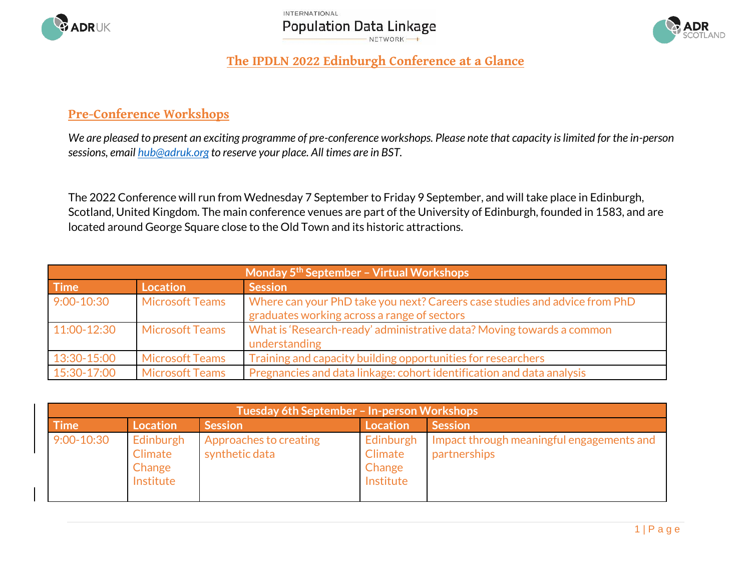





## **The IPDLN 2022 Edinburgh Conference at a Glance**

## **Pre-Conference Workshops**

*We are pleased to present an exciting programme of pre-conference workshops. Please note that capacity is limited for the in-person sessions, email [hub@adruk.org](mailto:hub@adruk.org) to reserve your place. All times are in BST.*

The 2022 Conference will run from Wednesday 7 September to Friday 9 September, and will take place in Edinburgh, Scotland, United Kingdom. The main conference venues are part of the University of Edinburgh, founded in 1583, and are located around George Square close to the Old Town and its historic attractions.

| Monday 5 <sup>th</sup> September - Virtual Workshops |                        |                                                                                                                           |  |
|------------------------------------------------------|------------------------|---------------------------------------------------------------------------------------------------------------------------|--|
| <b>Time</b>                                          | <b>Location</b>        | <b>Session</b>                                                                                                            |  |
| $9:00 - 10:30$                                       | <b>Microsoft Teams</b> | Where can your PhD take you next? Careers case studies and advice from PhD<br>graduates working across a range of sectors |  |
| 11:00-12:30                                          | <b>Microsoft Teams</b> | What is 'Research-ready' administrative data? Moving towards a common<br>understanding                                    |  |
| 13:30-15:00                                          | <b>Microsoft Teams</b> | Training and capacity building opportunities for researchers                                                              |  |
| 15:30-17:00                                          | <b>Microsoft Teams</b> | Pregnancies and data linkage: cohort identification and data analysis                                                     |  |

| Tuesday 6th September - In-person Workshops |                                             |                                          |                                             |                                                           |
|---------------------------------------------|---------------------------------------------|------------------------------------------|---------------------------------------------|-----------------------------------------------------------|
| <b>Time</b>                                 | <b>Location</b>                             | <b>Session</b>                           | <b>Location</b>                             | <b>Session</b>                                            |
| $9:00 - 10:30$                              | Edinburgh<br>Climate<br>Change<br>Institute | Approaches to creating<br>synthetic data | Edinburgh<br>Climate<br>Change<br>Institute | Impact through meaningful engagements and<br>partnerships |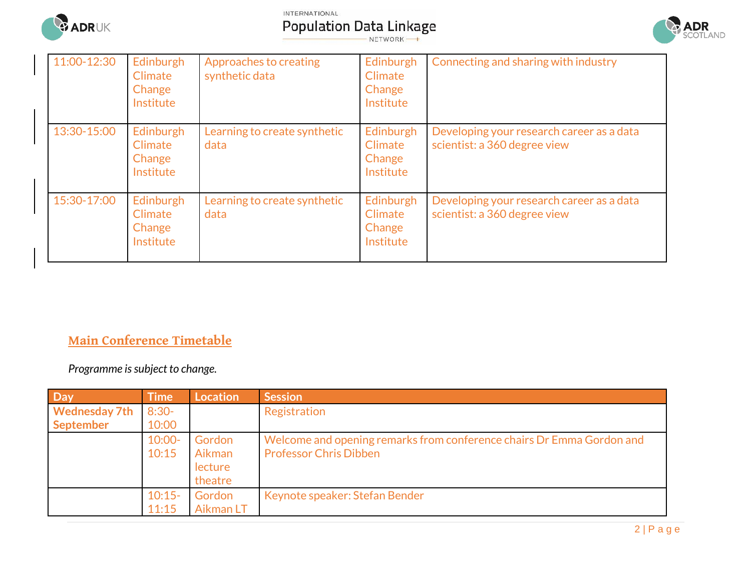

INTERNATIONAL

**Population Data Linkage** 

**ADR**<br>Scotland

| 11:00-12:30 | Edinburgh<br><b>Climate</b><br>Change<br>Institute | Approaches to creating<br>synthetic data | Edinburgh<br>Climate<br>Change<br>Institute | Connecting and sharing with industry                                      |
|-------------|----------------------------------------------------|------------------------------------------|---------------------------------------------|---------------------------------------------------------------------------|
| 13:30-15:00 | Edinburgh<br><b>Climate</b><br>Change<br>Institute | Learning to create synthetic<br>data     | Edinburgh<br>Climate<br>Change<br>Institute | Developing your research career as a data<br>scientist: a 360 degree view |
| 15:30-17:00 | Edinburgh<br><b>Climate</b><br>Change<br>Institute | Learning to create synthetic<br>data     | Edinburgh<br>Climate<br>Change<br>Institute | Developing your research career as a data<br>scientist: a 360 degree view |

## **Main Conference Timetable**

*Programme is subject to change.*

| <b>Day</b>           | <b>Time</b> | Location  | <b>Session</b>                                                        |
|----------------------|-------------|-----------|-----------------------------------------------------------------------|
| <b>Wednesday 7th</b> | $8:30-$     |           | Registration                                                          |
| <b>September</b>     | 10:00       |           |                                                                       |
|                      | $10:00 -$   | Gordon    | Welcome and opening remarks from conference chairs Dr Emma Gordon and |
|                      | 10:15       | Aikman    | <b>Professor Chris Dibben</b>                                         |
|                      |             | lecture   |                                                                       |
|                      |             | theatre   |                                                                       |
|                      | $10:15-$    | Gordon    | Keynote speaker: Stefan Bender                                        |
|                      | 11:15       | Aikman LT |                                                                       |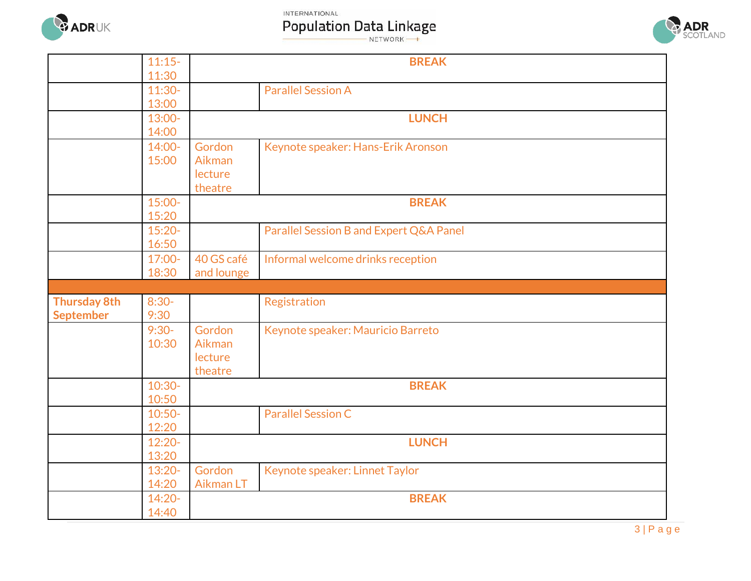

INTERNATIONAL

**Population Data Linkage** 



|                     | $11:15-$          |            | <b>BREAK</b>                            |
|---------------------|-------------------|------------|-----------------------------------------|
|                     | 11:30             |            |                                         |
|                     | $11:30-$          |            | <b>Parallel Session A</b>               |
|                     | 13:00             |            |                                         |
|                     | 13:00-            |            | <b>LUNCH</b>                            |
|                     | 14:00             |            |                                         |
|                     | 14:00-            | Gordon     | Keynote speaker: Hans-Erik Aronson      |
|                     | 15:00             | Aikman     |                                         |
|                     |                   | lecture    |                                         |
|                     |                   | theatre    |                                         |
|                     | 15:00-            |            | <b>BREAK</b>                            |
|                     | 15:20             |            |                                         |
|                     | $15:20-$          |            | Parallel Session B and Expert Q&A Panel |
|                     | 16:50             |            |                                         |
|                     | 17:00-            | 40 GS café | Informal welcome drinks reception       |
|                     | 18:30             | and lounge |                                         |
|                     |                   |            |                                         |
|                     |                   |            |                                         |
| <b>Thursday 8th</b> | $8:30-$           |            | Registration                            |
| <b>September</b>    | 9:30              |            |                                         |
|                     | $9:30-$           | Gordon     | Keynote speaker: Mauricio Barreto       |
|                     | 10:30             | Aikman     |                                         |
|                     |                   | lecture    |                                         |
|                     |                   | theatre    |                                         |
|                     | $10:30-$          |            | <b>BREAK</b>                            |
|                     | 10:50             |            |                                         |
|                     | $10:50-$          |            | <b>Parallel Session C</b>               |
|                     | 12:20             |            |                                         |
|                     | $12:20-$          |            | <b>LUNCH</b>                            |
|                     | 13:20             |            |                                         |
|                     | $13:20-$          | Gordon     | Keynote speaker: Linnet Taylor          |
|                     | 14:20             | Aikman LT  |                                         |
|                     | $14:20-$<br>14:40 |            | <b>BREAK</b>                            |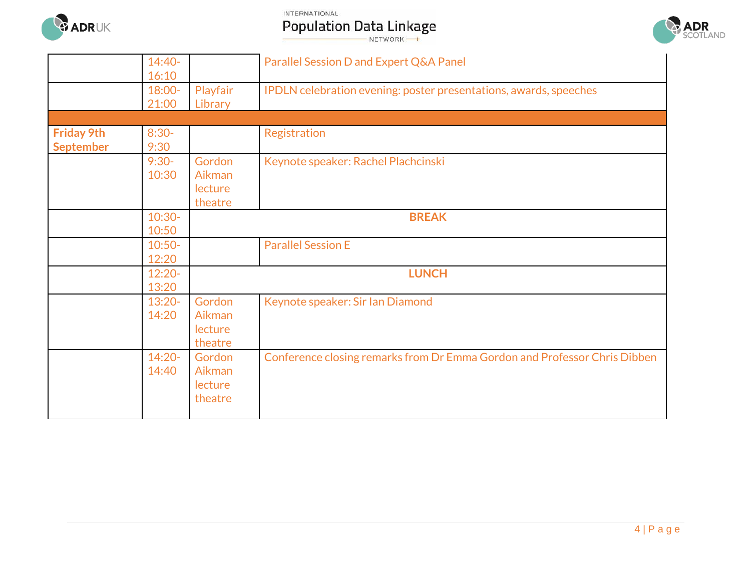

INTERNATIONAL

**Population Data Linkage** 



|                                       | $14:40-$<br>16:10                      |                                                                                  | Parallel Session D and Expert Q&A Panel                                                                       |
|---------------------------------------|----------------------------------------|----------------------------------------------------------------------------------|---------------------------------------------------------------------------------------------------------------|
|                                       | 18:00-<br>21:00                        | Playfair<br>Library                                                              | IPDLN celebration evening: poster presentations, awards, speeches                                             |
|                                       |                                        |                                                                                  |                                                                                                               |
| <b>Friday 9th</b><br><b>September</b> | $8:30-$<br>9:30                        |                                                                                  | Registration                                                                                                  |
|                                       | $9:30-$<br>10:30                       | Gordon<br>Aikman<br>lecture<br>theatre                                           | Keynote speaker: Rachel Plachcinski                                                                           |
|                                       | $10:30-$<br>10:50                      |                                                                                  | <b>BREAK</b>                                                                                                  |
|                                       | $10:50-$<br>12:20                      |                                                                                  | <b>Parallel Session E</b>                                                                                     |
|                                       | $12:20-$<br>13:20                      |                                                                                  | <b>LUNCH</b>                                                                                                  |
|                                       | $13:20-$<br>14:20<br>$14:20-$<br>14:40 | Gordon<br>Aikman<br>lecture<br>theatre<br>Gordon<br>Aikman<br>lecture<br>theatre | Keynote speaker: Sir Ian Diamond<br>Conference closing remarks from Dr Emma Gordon and Professor Chris Dibben |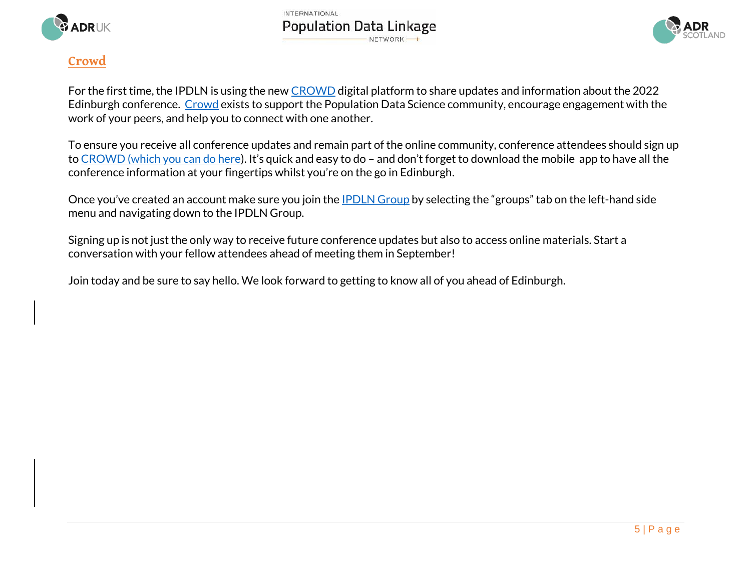

**INTERNATIONAL Population Data Linkage** NETWORK-



## **Crowd**

For the first time, the IPDLN is using the new [CROWD](https://www.crowd.community/) digital platform to share updates and information about the 2022 Edinburgh conference. [Crowd](https://www.crowd.community/) exists to support the Population Data Science community, encourage engagement with the work of your peers, and help you to connect with one another.

To ensure you receive all conference updates and remain part of the online community, conference attendees should sign up t[o CROWD \(which you can do here](https://www.crowd.community/)). It's quick and easy to do - and don't forget to download the mobile app to have all the conference information at your fingertips whilst you're on the go in Edinburgh.

Once you've created an account make sure you join the **[IPDLN Group](https://www.crowd.community/groups/5217326/feed)** by selecting the "groups" tab on the left-hand side menu and navigating down to the IPDLN Group.

Signing up is not just the only way to receive future conference updates but also to access online materials. Start a conversation with your fellow attendees ahead of meeting them in September!

Join today and be sure to say hello. We look forward to getting to know all of you ahead of Edinburgh.